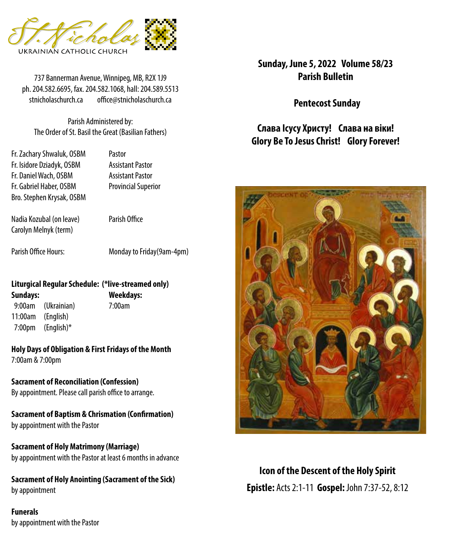

737 Bannerman Avenue, Winnipeg, MB, R2X 1J9 **Parish Bulletin** ph. 204.582.6695, fax. 204.582.1068, hall: 204.589.5513 stnicholaschurch.ca office@stnicholaschurch.ca

Parish Administered by: The Order of St. Basil the Great (Basilian Fathers)

Fr. Zachary Shwaluk, OSBM Pastor Fr. Isidore Dziadyk, OSBM Assistant Pastor Fr. Daniel Wach, OSBM Assistant Pastor Fr. Gabriel Haber, OSBM Provincial Superior Bro. Stephen Krysak, OSBM

Nadia Kozubal (on leave) Parish Office Carolyn Melnyk (term)

Parish Office Hours: Monday to Friday(9am-4pm)

#### **Liturgical Regular Schedule: (\*live-streamed only) Sundays: Weekdays:**

 9:00am (Ukrainian) 7:00am 11:00am (English) 7:00pm (English)\*

**Holy Days of Obligation & First Fridays of the Month** 7:00am & 7:00pm

**Sacrament of Reconciliation (Confession)** By appointment. Please call parish office to arrange.

**Sacrament of Baptism & Chrismation (Confirmation)** by appointment with the Pastor

**Sacrament of Holy Matrimony (Marriage)** by appointment with the Pastor at least 6 months in advance

**Sacrament of Holy Anointing (Sacrament of the Sick)** by appointment

**Funerals** by appointment with the Pastor **Sunday, June 5, 2022 Volume 58/23**

**Pentecost Sunday**

**Слава Ісусу Христу! Слава на віки! Glory Be To Jesus Christ! Glory Forever!**



**Icon of the Descent of the Holy Spirit Epistle:** Acts 2:1-11 **Gospel:** John 7:37-52, 8:12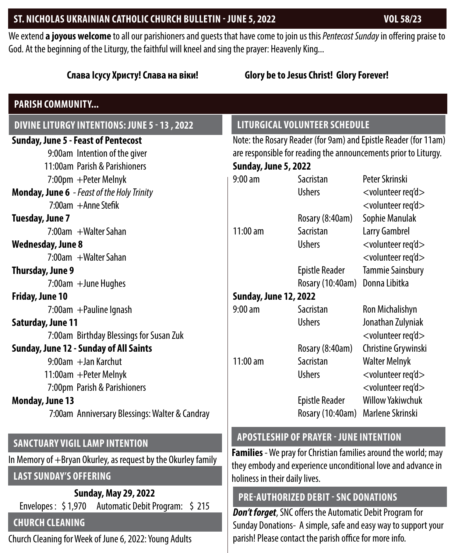#### **ST. NICHOLAS UKRAINIAN CATHOLIC CHURCH BULLETIN - JUNE 5, 2022 VOL 58/23**

We extend **a joyous welcome** to all our parishioners and guests that have come to join us this *Pentecost Sunday* in offering praise to God. At the beginning of the Liturgy, the faithful will kneel and sing the prayer: Heavenly King...

## **Слава Ісусу Христу! Слава на віки! Glory be to Jesus Christ! Glory Forever! DIVINE LITURGY INTENTIONS: JUNE 5 - 13 , 2022 PARISH COMMUNITY... Sunday, June 5 - Feast of Pentecost** 9:00am Intention of the giver 11:00am Parish & Parishioners 7:00pm +Peter Melnyk **Monday, June 6** *- Feast of the Holy Trinity* 7:00am +Anne Stefik **Tuesday, June 7** 7:00am +Walter Sahan **Wednesday, June 8** 7:00am +Walter Sahan **Thursday, June 9** 7:00am +June Hughes **Friday, June 10** 7:00am +Pauline Ignash **Saturday, June 11** 7:00am Birthday Blessings for Susan Zuk **Sunday, June 12 - Sunday of All Saints** 9:00am + Jan Karchut 11:00am +Peter Melnyk 7:00pm Parish & Parishioners **Monday, June 13** 7:00am Anniversary Blessings: Walter & Candray **LITURGICAL VOLUNTEER SCHEDULE Sunday, June 5, 2022 Sunday, June 12, 2022**

#### **SANCTUARY VIGIL LAMP INTENTION**

In Memory of +Bryan Okurley, as request by the Okurley family

# **LAST SUNDAY'S OFFERING**

**Sunday, May 29, 2022** Envelopes : \$ 1,970 Automatic Debit Program: \$ 215

# **CHURCH CLEANING**

Church Cleaning for Week of June 6, 2022: Young Adults

Note: the Rosary Reader (for 9am) and Epistle Reader (for 11am) are responsible for reading the announcements prior to Liturgy.

| 9:00 am               | Sacristan             | Peter Skrinski                   |
|-----------------------|-----------------------|----------------------------------|
|                       | <b>Ushers</b>         | <volunteer req'd=""></volunteer> |
|                       |                       | <volunteer req'd=""></volunteer> |
|                       | Rosary (8:40am)       | Sophie Manulak                   |
| 11:00 am              | Sacristan             | Larry Gambrel                    |
|                       | <b>Ushers</b>         | <volunteer req'd=""></volunteer> |
|                       |                       | <volunteer req'd=""></volunteer> |
|                       | <b>Epistle Reader</b> | <b>Tammie Sainsbury</b>          |
|                       | Rosary (10:40am)      | Donna Libitka                    |
| Sunday, June 12, 2022 |                       |                                  |
| 9:00 am               | Sacristan             | <b>Ron Michalishyn</b>           |
|                       | <b>Ushers</b>         | Jonathan Zulyniak                |
|                       |                       | <volunteer req'd=""></volunteer> |
|                       | Rosary (8:40am)       | Christine Grywinski              |
| $11:00$ am            | Sacristan             | Walter Melnyk                    |
|                       | <b>Ushers</b>         | <volunteer req'd=""></volunteer> |
|                       |                       | <volunteer req'd=""></volunteer> |
|                       | <b>Epistle Reader</b> | <b>Willow Yakiwchuk</b>          |
|                       | Rosary (10:40am)      | Marlene Skrinski                 |

#### **APOSTLESHIP OF PRAYER - JUNE INTENTION**

**Families** - We pray for Christian families around the world; may they embody and experience unconditional love and advance in holiness in their daily lives.

# **PRE-AUTHORIZED DEBIT - SNC DONATIONS**

*Don't forget*, SNC offers the Automatic Debit Program for Sunday Donations- A simple, safe and easy way to support your parish! Please contact the parish office for more info.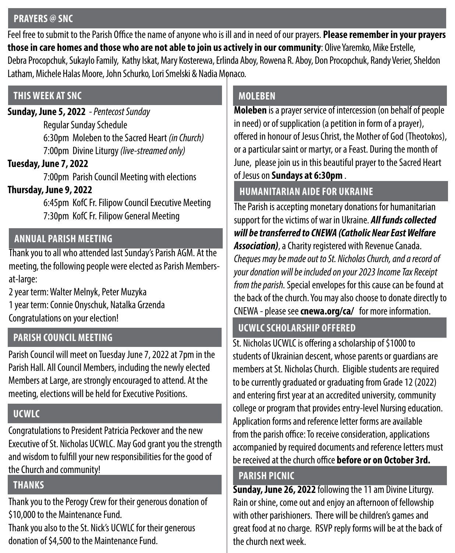#### **PRAYERS @ SNC**

Feel free to submit to the Parish Office the name of anyone who is ill and in need of our prayers. **Please remember in your prayers those in care homes and those who are not able to join us actively in our community**: Olive Yaremko, Mike Erstelle, Debra Procopchuk, Sukaylo Family, Kathy Iskat, Mary Kosterewa, Erlinda Aboy, Rowena R. Aboy, Don Procopchuk, Randy Verier, Sheldon Latham, Michele Halas Moore, John Schurko, Lori Smelski & Nadia Monaco.

## **THIS WEEK AT SNC**

**Sunday, June 5, 2022** *- Pentecost Sunday* Regular Sunday Schedule 6:30pm Moleben to the Sacred Heart *(in Church)* 7:00pm Divine Liturgy *(live-streamed only)*

#### **Tuesday, June 7, 2022**

7:00pm Parish Council Meeting with elections

## **Thursday, June 9, 2022**

 6:45pm KofC Fr. Filipow Council Executive Meeting 7:30pm KofC Fr. Filipow General Meeting

## **ANNUAL PARISH MEETING**

Thank you to all who attended last Sunday's Parish AGM. At the meeting, the following people were elected as Parish Membersat-large:

2 year term: Walter Melnyk, Peter Muzyka 1 year term: Connie Onyschuk, Natalka Grzenda Congratulations on your election!

# **PARISH COUNCIL MEETING**

Parish Council will meet on Tuesday June 7, 2022 at 7pm in the Parish Hall. All Council Members, including the newly elected Members at Large, are strongly encouraged to attend. At the meeting, elections will be held for Executive Positions.

# **UCWLC**

Congratulations to President Patricia Peckover and the new Executive of St. Nicholas UCWLC. May God grant you the strength and wisdom to fulfill your new responsibilities for the good of the Church and community!

## **THANKS**

Thank you to the Perogy Crew for their generous donation of \$10,000 to the Maintenance Fund.

Thank you also to the St. Nick's UCWLC for their generous donation of \$4,500 to the Maintenance Fund.

# **MOLEBEN**

**Moleben** is a prayer service of intercession (on behalf of people in need) or of supplication (a petition in form of a prayer), offered in honour of Jesus Christ, the Mother of God (Theotokos), or a particular saint or martyr, or a Feast. During the month of June, please join us in this beautiful prayer to the Sacred Heart of Jesus on **Sundays at 6:30pm** .

# **HUMANITARIAN AIDE FOR UKRAINE**

The Parish is accepting monetary donations for humanitarian support for the victims of war in Ukraine. *All funds collected will be transferred to CNEWA (Catholic Near East Welfare Association)*, a Charity registered with Revenue Canada. *Cheques may be made out to St. Nicholas Church, and a record of your donation will be included on your 2023 Income Tax Receipt from the parish.* Special envelopes for this cause can be found at the back of the church. You may also choose to donate directly to CNEWA - please see **cnewa.org/ca/** for more information.

# **UCWLC SCHOLARSHIP OFFERED**

St. Nicholas UCWLC is offering a scholarship of \$1000 to students of Ukrainian descent, whose parents or guardians are members at St. Nicholas Church. Eligible students are required to be currently graduated or graduating from Grade 12 (2022) and entering first year at an accredited university, community college or program that provides entry-level Nursing education. Application forms and reference letter forms are available from the parish office: To receive consideration, applications accompanied by required documents and reference letters must be received at the church office **before or on October 3rd.** 

#### **PARISH PICNIC**

**Sunday, June 26, 2022** following the 11 am Divine Liturgy. Rain or shine, come out and enjoy an afternoon of fellowship with other parishioners. There will be children's games and great food at no charge. RSVP reply forms will be at the back of the church next week.